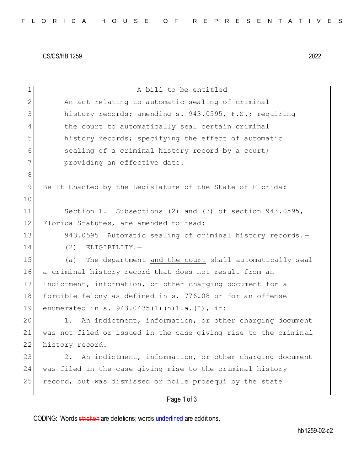CS/CS/HB 1259 2022

| $\mathbf 1$    | A bill to be entitled                                           |
|----------------|-----------------------------------------------------------------|
| $\mathbf{2}$   | An act relating to automatic sealing of criminal                |
| 3              | history records; amending s. 943.0595, F.S.; requiring          |
| $\overline{4}$ | the court to automatically seal certain criminal                |
| 5              | history records; specifying the effect of automatic             |
| 6              | sealing of a criminal history record by a court;                |
| 7              | providing an effective date.                                    |
| $\,8\,$        |                                                                 |
| 9              | Be It Enacted by the Legislature of the State of Florida:       |
| 10             |                                                                 |
| 11             | Section 1. Subsections (2) and (3) of section 943.0595,         |
| 12             | Florida Statutes, are amended to read:                          |
| 13             | 943.0595 Automatic sealing of criminal history records.-        |
| 14             | (2)<br>ELIGIBILITY.-                                            |
| 15             | The department and the court shall automatically seal<br>(a)    |
| 16             | a criminal history record that does not result from an          |
| 17             | indictment, information, or other charging document for a       |
| 18             | forcible felony as defined in s. 776.08 or for an offense       |
| 19             | enumerated in s. 943.0435(1)(h)1.a.(I), if:                     |
| 20             | An indictment, information, or other charging document<br>1.    |
| 21             | was not filed or issued in the case giving rise to the criminal |
| 22             | history record.                                                 |
| 23             | An indictment, information, or other charging document<br>2.    |
| 24             | was filed in the case giving rise to the criminal history       |
| 25             | record, but was dismissed or nolle prosequi by the state        |
|                | Page 1 of 3                                                     |

CODING: Words stricken are deletions; words underlined are additions.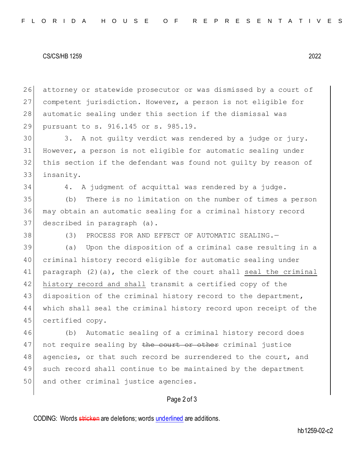## CS/CS/HB 1259 2022

26 attorney or statewide prosecutor or was dismissed by a court of 27 competent jurisdiction. However, a person is not eligible for 28 automatic sealing under this section if the dismissal was 29 pursuant to s. 916.145 or s. 985.19.

 3. A not guilty verdict was rendered by a judge or jury. However, a person is not eligible for automatic sealing under this section if the defendant was found not guilty by reason of insanity.

34 4. A judgment of acquittal was rendered by a judge.

35 (b) There is no limitation on the number of times a person 36 may obtain an automatic sealing for a criminal history record 37 described in paragraph (a).

38 (3) PROCESS FOR AND EFFECT OF AUTOMATIC SEALING.

39 (a) Upon the disposition of a criminal case resulting in a 40 criminal history record eligible for automatic sealing under 41 paragraph (2)(a), the clerk of the court shall seal the criminal 42 history record and shall transmit a certified copy of the 43 disposition of the criminal history record to the department, 44 which shall seal the criminal history record upon receipt of the 45 certified copy.

46 (b) Automatic sealing of a criminal history record does 47 not require sealing by the court or other criminal justice 48 agencies, or that such record be surrendered to the court, and 49 such record shall continue to be maintained by the department 50 and other criminal justice agencies.

## Page 2 of 3

CODING: Words stricken are deletions; words underlined are additions.